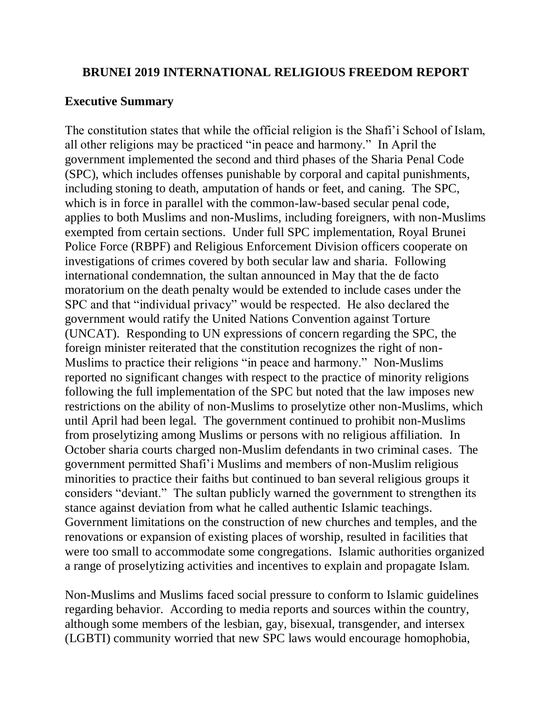### **BRUNEI 2019 INTERNATIONAL RELIGIOUS FREEDOM REPORT**

### **Executive Summary**

The constitution states that while the official religion is the Shafi'i School of Islam, all other religions may be practiced "in peace and harmony." In April the government implemented the second and third phases of the Sharia Penal Code (SPC), which includes offenses punishable by corporal and capital punishments, including stoning to death, amputation of hands or feet, and caning. The SPC, which is in force in parallel with the common-law-based secular penal code, applies to both Muslims and non-Muslims, including foreigners, with non-Muslims exempted from certain sections. Under full SPC implementation, Royal Brunei Police Force (RBPF) and Religious Enforcement Division officers cooperate on investigations of crimes covered by both secular law and sharia. Following international condemnation, the sultan announced in May that the de facto moratorium on the death penalty would be extended to include cases under the SPC and that "individual privacy" would be respected. He also declared the government would ratify the United Nations Convention against Torture (UNCAT). Responding to UN expressions of concern regarding the SPC, the foreign minister reiterated that the constitution recognizes the right of non-Muslims to practice their religions "in peace and harmony." Non-Muslims reported no significant changes with respect to the practice of minority religions following the full implementation of the SPC but noted that the law imposes new restrictions on the ability of non-Muslims to proselytize other non-Muslims, which until April had been legal. The government continued to prohibit non-Muslims from proselytizing among Muslims or persons with no religious affiliation. In October sharia courts charged non-Muslim defendants in two criminal cases. The government permitted Shafi'i Muslims and members of non-Muslim religious minorities to practice their faiths but continued to ban several religious groups it considers "deviant." The sultan publicly warned the government to strengthen its stance against deviation from what he called authentic Islamic teachings. Government limitations on the construction of new churches and temples, and the renovations or expansion of existing places of worship, resulted in facilities that were too small to accommodate some congregations. Islamic authorities organized a range of proselytizing activities and incentives to explain and propagate Islam.

Non-Muslims and Muslims faced social pressure to conform to Islamic guidelines regarding behavior. According to media reports and sources within the country, although some members of the lesbian, gay, bisexual, transgender, and intersex (LGBTI) community worried that new SPC laws would encourage homophobia,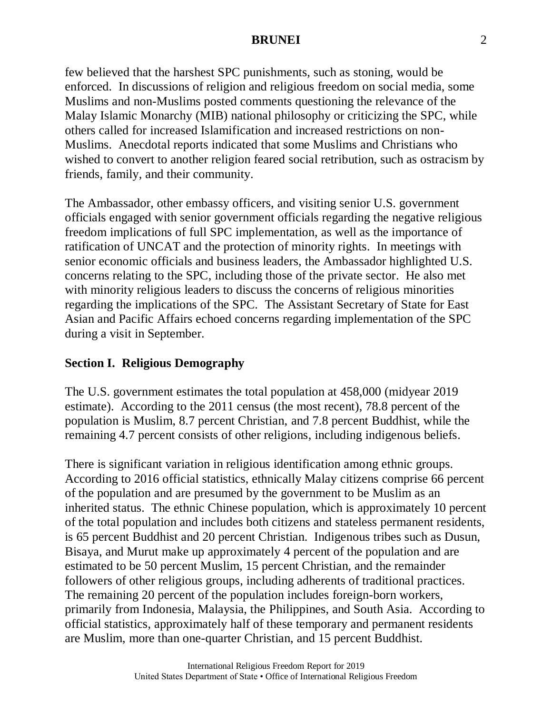few believed that the harshest SPC punishments, such as stoning, would be enforced. In discussions of religion and religious freedom on social media, some Muslims and non-Muslims posted comments questioning the relevance of the Malay Islamic Monarchy (MIB) national philosophy or criticizing the SPC, while others called for increased Islamification and increased restrictions on non-Muslims. Anecdotal reports indicated that some Muslims and Christians who wished to convert to another religion feared social retribution, such as ostracism by friends, family, and their community.

The Ambassador, other embassy officers, and visiting senior U.S. government officials engaged with senior government officials regarding the negative religious freedom implications of full SPC implementation, as well as the importance of ratification of UNCAT and the protection of minority rights. In meetings with senior economic officials and business leaders, the Ambassador highlighted U.S. concerns relating to the SPC, including those of the private sector. He also met with minority religious leaders to discuss the concerns of religious minorities regarding the implications of the SPC. The Assistant Secretary of State for East Asian and Pacific Affairs echoed concerns regarding implementation of the SPC during a visit in September.

# **Section I. Religious Demography**

The U.S. government estimates the total population at 458,000 (midyear 2019 estimate). According to the 2011 census (the most recent), 78.8 percent of the population is Muslim, 8.7 percent Christian, and 7.8 percent Buddhist, while the remaining 4.7 percent consists of other religions, including indigenous beliefs.

There is significant variation in religious identification among ethnic groups. According to 2016 official statistics, ethnically Malay citizens comprise 66 percent of the population and are presumed by the government to be Muslim as an inherited status. The ethnic Chinese population, which is approximately 10 percent of the total population and includes both citizens and stateless permanent residents, is 65 percent Buddhist and 20 percent Christian. Indigenous tribes such as Dusun, Bisaya, and Murut make up approximately 4 percent of the population and are estimated to be 50 percent Muslim, 15 percent Christian, and the remainder followers of other religious groups, including adherents of traditional practices. The remaining 20 percent of the population includes foreign-born workers, primarily from Indonesia, Malaysia, the Philippines, and South Asia. According to official statistics, approximately half of these temporary and permanent residents are Muslim, more than one-quarter Christian, and 15 percent Buddhist.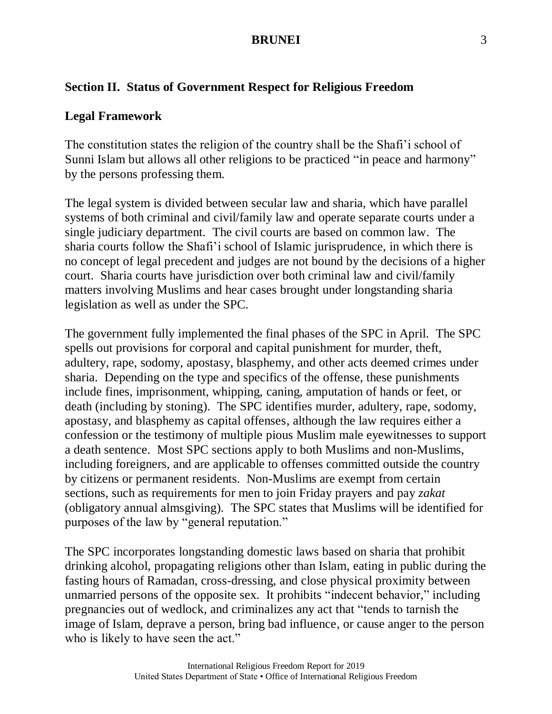### **Section II. Status of Government Respect for Religious Freedom**

#### **Legal Framework**

The constitution states the religion of the country shall be the Shafi'i school of Sunni Islam but allows all other religions to be practiced "in peace and harmony" by the persons professing them.

The legal system is divided between secular law and sharia, which have parallel systems of both criminal and civil/family law and operate separate courts under a single judiciary department. The civil courts are based on common law. The sharia courts follow the Shafi'i school of Islamic jurisprudence, in which there is no concept of legal precedent and judges are not bound by the decisions of a higher court. Sharia courts have jurisdiction over both criminal law and civil/family matters involving Muslims and hear cases brought under longstanding sharia legislation as well as under the SPC.

The government fully implemented the final phases of the SPC in April. The SPC spells out provisions for corporal and capital punishment for murder, theft, adultery, rape, sodomy, apostasy, blasphemy, and other acts deemed crimes under sharia. Depending on the type and specifics of the offense, these punishments include fines, imprisonment, whipping, caning, amputation of hands or feet, or death (including by stoning). The SPC identifies murder, adultery, rape, sodomy, apostasy, and blasphemy as capital offenses, although the law requires either a confession or the testimony of multiple pious Muslim male eyewitnesses to support a death sentence. Most SPC sections apply to both Muslims and non-Muslims, including foreigners, and are applicable to offenses committed outside the country by citizens or permanent residents. Non-Muslims are exempt from certain sections, such as requirements for men to join Friday prayers and pay *zakat* (obligatory annual almsgiving). The SPC states that Muslims will be identified for purposes of the law by "general reputation."

The SPC incorporates longstanding domestic laws based on sharia that prohibit drinking alcohol, propagating religions other than Islam, eating in public during the fasting hours of Ramadan, cross-dressing, and close physical proximity between unmarried persons of the opposite sex. It prohibits "indecent behavior," including pregnancies out of wedlock, and criminalizes any act that "tends to tarnish the image of Islam, deprave a person, bring bad influence, or cause anger to the person who is likely to have seen the act."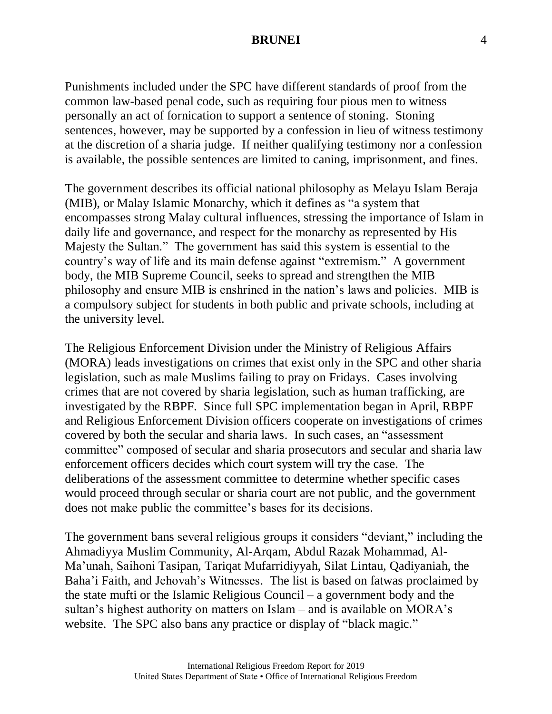Punishments included under the SPC have different standards of proof from the common law-based penal code, such as requiring four pious men to witness personally an act of fornication to support a sentence of stoning. Stoning sentences, however, may be supported by a confession in lieu of witness testimony at the discretion of a sharia judge. If neither qualifying testimony nor a confession is available, the possible sentences are limited to caning, imprisonment, and fines.

The government describes its official national philosophy as Melayu Islam Beraja (MIB), or Malay Islamic Monarchy, which it defines as "a system that encompasses strong Malay cultural influences, stressing the importance of Islam in daily life and governance, and respect for the monarchy as represented by His Majesty the Sultan." The government has said this system is essential to the country's way of life and its main defense against "extremism." A government body, the MIB Supreme Council, seeks to spread and strengthen the MIB philosophy and ensure MIB is enshrined in the nation's laws and policies. MIB is a compulsory subject for students in both public and private schools, including at the university level.

The Religious Enforcement Division under the Ministry of Religious Affairs (MORA) leads investigations on crimes that exist only in the SPC and other sharia legislation, such as male Muslims failing to pray on Fridays. Cases involving crimes that are not covered by sharia legislation, such as human trafficking, are investigated by the RBPF. Since full SPC implementation began in April, RBPF and Religious Enforcement Division officers cooperate on investigations of crimes covered by both the secular and sharia laws. In such cases, an "assessment committee" composed of secular and sharia prosecutors and secular and sharia law enforcement officers decides which court system will try the case. The deliberations of the assessment committee to determine whether specific cases would proceed through secular or sharia court are not public, and the government does not make public the committee's bases for its decisions.

The government bans several religious groups it considers "deviant," including the Ahmadiyya Muslim Community, Al-Arqam, Abdul Razak Mohammad, Al-Ma'unah, Saihoni Tasipan, Tariqat Mufarridiyyah, Silat Lintau, Qadiyaniah, the Baha'i Faith, and Jehovah's Witnesses. The list is based on fatwas proclaimed by the state mufti or the Islamic Religious Council – a government body and the sultan's highest authority on matters on Islam – and is available on MORA's website. The SPC also bans any practice or display of "black magic."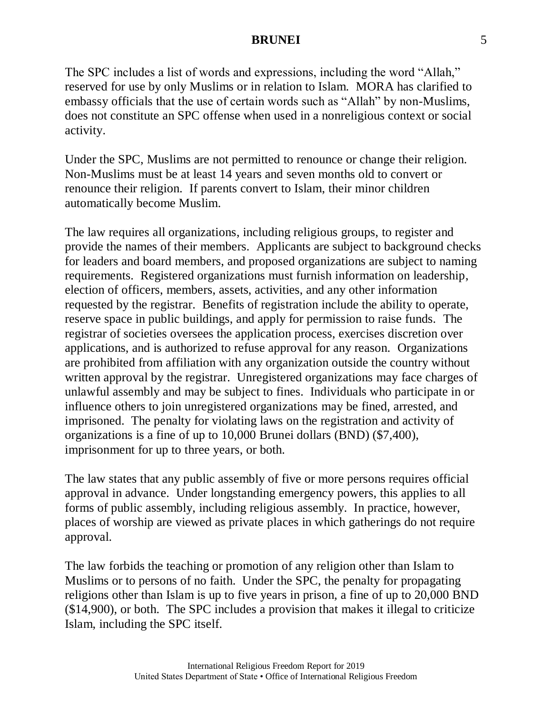The SPC includes a list of words and expressions, including the word "Allah," reserved for use by only Muslims or in relation to Islam. MORA has clarified to embassy officials that the use of certain words such as "Allah" by non-Muslims, does not constitute an SPC offense when used in a nonreligious context or social activity.

Under the SPC, Muslims are not permitted to renounce or change their religion. Non-Muslims must be at least 14 years and seven months old to convert or renounce their religion. If parents convert to Islam, their minor children automatically become Muslim.

The law requires all organizations, including religious groups, to register and provide the names of their members. Applicants are subject to background checks for leaders and board members, and proposed organizations are subject to naming requirements. Registered organizations must furnish information on leadership, election of officers, members, assets, activities, and any other information requested by the registrar. Benefits of registration include the ability to operate, reserve space in public buildings, and apply for permission to raise funds. The registrar of societies oversees the application process, exercises discretion over applications, and is authorized to refuse approval for any reason. Organizations are prohibited from affiliation with any organization outside the country without written approval by the registrar. Unregistered organizations may face charges of unlawful assembly and may be subject to fines. Individuals who participate in or influence others to join unregistered organizations may be fined, arrested, and imprisoned. The penalty for violating laws on the registration and activity of organizations is a fine of up to 10,000 Brunei dollars (BND) (\$7,400), imprisonment for up to three years, or both.

The law states that any public assembly of five or more persons requires official approval in advance. Under longstanding emergency powers, this applies to all forms of public assembly, including religious assembly. In practice, however, places of worship are viewed as private places in which gatherings do not require approval.

The law forbids the teaching or promotion of any religion other than Islam to Muslims or to persons of no faith. Under the SPC, the penalty for propagating religions other than Islam is up to five years in prison, a fine of up to 20,000 BND (\$14,900), or both. The SPC includes a provision that makes it illegal to criticize Islam, including the SPC itself.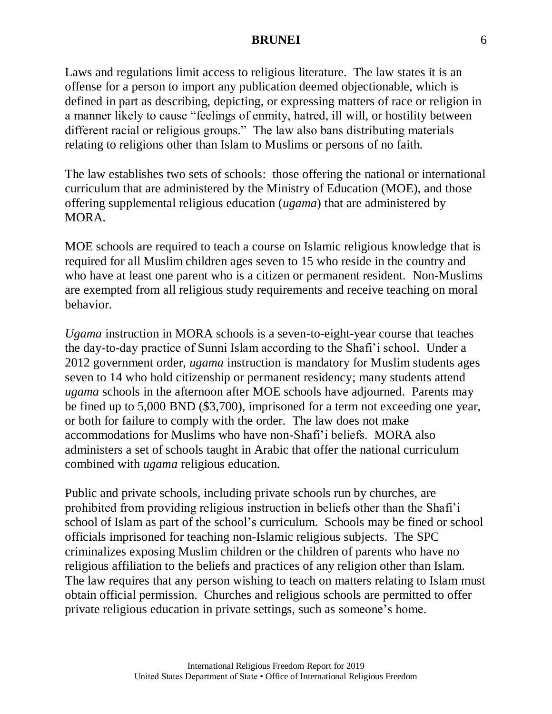Laws and regulations limit access to religious literature. The law states it is an offense for a person to import any publication deemed objectionable, which is defined in part as describing, depicting, or expressing matters of race or religion in a manner likely to cause "feelings of enmity, hatred, ill will, or hostility between different racial or religious groups." The law also bans distributing materials relating to religions other than Islam to Muslims or persons of no faith.

The law establishes two sets of schools: those offering the national or international curriculum that are administered by the Ministry of Education (MOE), and those offering supplemental religious education (*ugama*) that are administered by MORA.

MOE schools are required to teach a course on Islamic religious knowledge that is required for all Muslim children ages seven to 15 who reside in the country and who have at least one parent who is a citizen or permanent resident. Non-Muslims are exempted from all religious study requirements and receive teaching on moral behavior.

*Ugama* instruction in MORA schools is a seven-to-eight-year course that teaches the day-to-day practice of Sunni Islam according to the Shafi'i school. Under a 2012 government order, *ugama* instruction is mandatory for Muslim students ages seven to 14 who hold citizenship or permanent residency; many students attend *ugama* schools in the afternoon after MOE schools have adjourned. Parents may be fined up to 5,000 BND (\$3,700), imprisoned for a term not exceeding one year, or both for failure to comply with the order. The law does not make accommodations for Muslims who have non-Shafi'i beliefs. MORA also administers a set of schools taught in Arabic that offer the national curriculum combined with *ugama* religious education.

Public and private schools, including private schools run by churches, are prohibited from providing religious instruction in beliefs other than the Shafi'i school of Islam as part of the school's curriculum. Schools may be fined or school officials imprisoned for teaching non-Islamic religious subjects. The SPC criminalizes exposing Muslim children or the children of parents who have no religious affiliation to the beliefs and practices of any religion other than Islam. The law requires that any person wishing to teach on matters relating to Islam must obtain official permission. Churches and religious schools are permitted to offer private religious education in private settings, such as someone's home.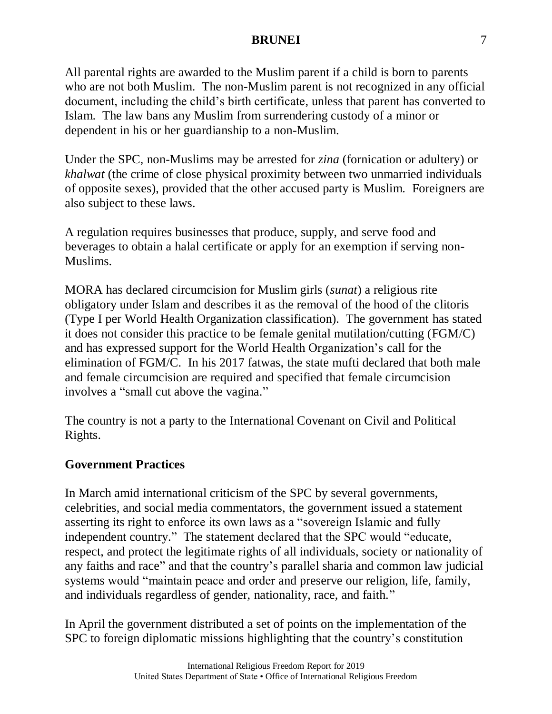All parental rights are awarded to the Muslim parent if a child is born to parents who are not both Muslim. The non-Muslim parent is not recognized in any official document, including the child's birth certificate, unless that parent has converted to Islam. The law bans any Muslim from surrendering custody of a minor or dependent in his or her guardianship to a non-Muslim.

Under the SPC, non-Muslims may be arrested for *zina* (fornication or adultery) or *khalwat* (the crime of close physical proximity between two unmarried individuals of opposite sexes), provided that the other accused party is Muslim. Foreigners are also subject to these laws.

A regulation requires businesses that produce, supply, and serve food and beverages to obtain a halal certificate or apply for an exemption if serving non-Muslims.

MORA has declared circumcision for Muslim girls (*sunat*) a religious rite obligatory under Islam and describes it as the removal of the hood of the clitoris (Type I per World Health Organization classification). The government has stated it does not consider this practice to be female genital mutilation/cutting (FGM/C) and has expressed support for the World Health Organization's call for the elimination of FGM/C. In his 2017 fatwas, the state mufti declared that both male and female circumcision are required and specified that female circumcision involves a "small cut above the vagina."

The country is not a party to the International Covenant on Civil and Political Rights.

# **Government Practices**

In March amid international criticism of the SPC by several governments, celebrities, and social media commentators, the government issued a statement asserting its right to enforce its own laws as a "sovereign Islamic and fully independent country." The statement declared that the SPC would "educate, respect, and protect the legitimate rights of all individuals, society or nationality of any faiths and race" and that the country's parallel sharia and common law judicial systems would "maintain peace and order and preserve our religion, life, family, and individuals regardless of gender, nationality, race, and faith."

In April the government distributed a set of points on the implementation of the SPC to foreign diplomatic missions highlighting that the country's constitution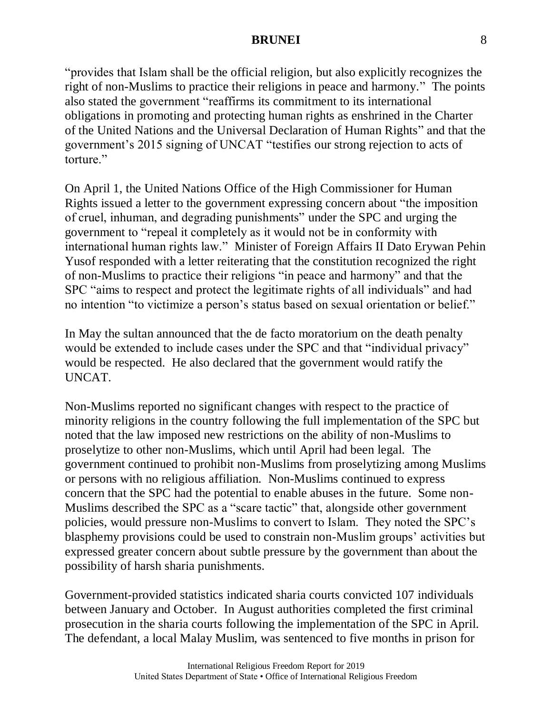"provides that Islam shall be the official religion, but also explicitly recognizes the right of non-Muslims to practice their religions in peace and harmony." The points also stated the government "reaffirms its commitment to its international obligations in promoting and protecting human rights as enshrined in the Charter of the United Nations and the Universal Declaration of Human Rights" and that the government's 2015 signing of UNCAT "testifies our strong rejection to acts of torture."

On April 1, the United Nations Office of the High Commissioner for Human Rights issued a letter to the government expressing concern about "the imposition of cruel, inhuman, and degrading punishments" under the SPC and urging the government to "repeal it completely as it would not be in conformity with international human rights law." Minister of Foreign Affairs II Dato Erywan Pehin Yusof responded with a letter reiterating that the constitution recognized the right of non-Muslims to practice their religions "in peace and harmony" and that the SPC "aims to respect and protect the legitimate rights of all individuals" and had no intention "to victimize a person's status based on sexual orientation or belief."

In May the sultan announced that the de facto moratorium on the death penalty would be extended to include cases under the SPC and that "individual privacy" would be respected. He also declared that the government would ratify the UNCAT.

Non-Muslims reported no significant changes with respect to the practice of minority religions in the country following the full implementation of the SPC but noted that the law imposed new restrictions on the ability of non-Muslims to proselytize to other non-Muslims, which until April had been legal. The government continued to prohibit non-Muslims from proselytizing among Muslims or persons with no religious affiliation. Non-Muslims continued to express concern that the SPC had the potential to enable abuses in the future. Some non-Muslims described the SPC as a "scare tactic" that, alongside other government policies, would pressure non-Muslims to convert to Islam. They noted the SPC's blasphemy provisions could be used to constrain non-Muslim groups' activities but expressed greater concern about subtle pressure by the government than about the possibility of harsh sharia punishments.

Government-provided statistics indicated sharia courts convicted 107 individuals between January and October. In August authorities completed the first criminal prosecution in the sharia courts following the implementation of the SPC in April. The defendant, a local Malay Muslim, was sentenced to five months in prison for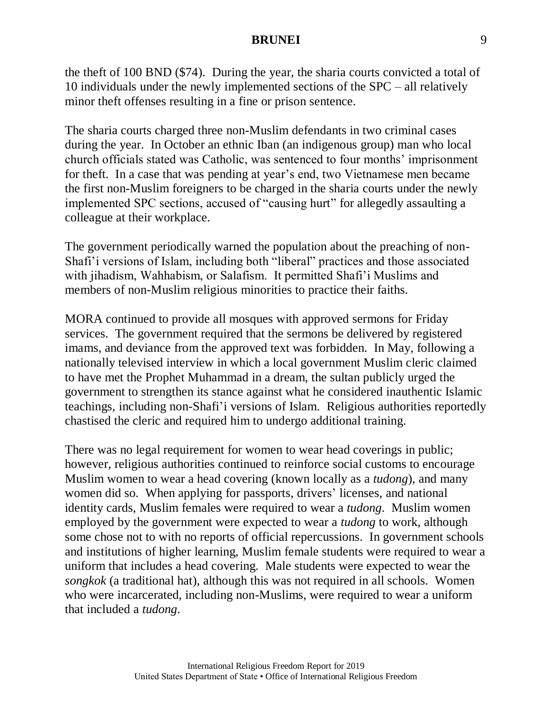the theft of 100 BND (\$74). During the year, the sharia courts convicted a total of 10 individuals under the newly implemented sections of the SPC – all relatively minor theft offenses resulting in a fine or prison sentence.

The sharia courts charged three non-Muslim defendants in two criminal cases during the year. In October an ethnic Iban (an indigenous group) man who local church officials stated was Catholic, was sentenced to four months' imprisonment for theft. In a case that was pending at year's end, two Vietnamese men became the first non-Muslim foreigners to be charged in the sharia courts under the newly implemented SPC sections, accused of "causing hurt" for allegedly assaulting a colleague at their workplace.

The government periodically warned the population about the preaching of non-Shafi'i versions of Islam, including both "liberal" practices and those associated with jihadism, Wahhabism, or Salafism. It permitted Shafi'i Muslims and members of non-Muslim religious minorities to practice their faiths.

MORA continued to provide all mosques with approved sermons for Friday services. The government required that the sermons be delivered by registered imams, and deviance from the approved text was forbidden. In May, following a nationally televised interview in which a local government Muslim cleric claimed to have met the Prophet Muhammad in a dream, the sultan publicly urged the government to strengthen its stance against what he considered inauthentic Islamic teachings, including non-Shafi'i versions of Islam. Religious authorities reportedly chastised the cleric and required him to undergo additional training.

There was no legal requirement for women to wear head coverings in public; however, religious authorities continued to reinforce social customs to encourage Muslim women to wear a head covering (known locally as a *tudong*), and many women did so. When applying for passports, drivers' licenses, and national identity cards, Muslim females were required to wear a *tudong*. Muslim women employed by the government were expected to wear a *tudong* to work, although some chose not to with no reports of official repercussions. In government schools and institutions of higher learning, Muslim female students were required to wear a uniform that includes a head covering. Male students were expected to wear the *songkok* (a traditional hat), although this was not required in all schools. Women who were incarcerated, including non-Muslims, were required to wear a uniform that included a *tudong*.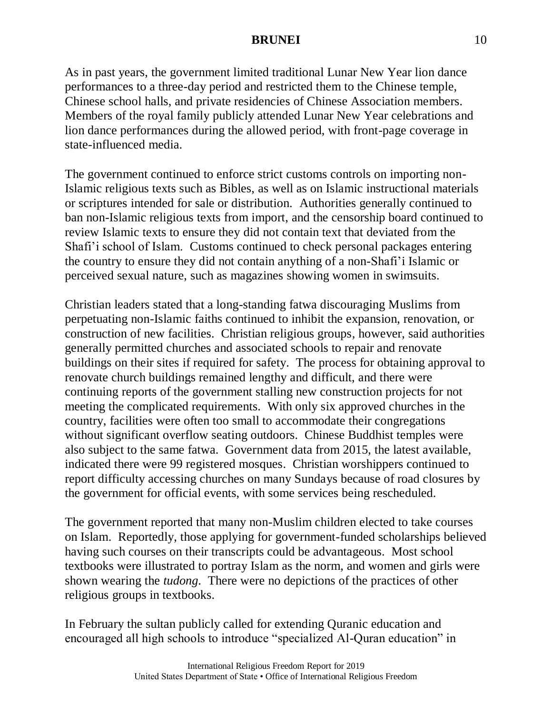As in past years, the government limited traditional Lunar New Year lion dance performances to a three-day period and restricted them to the Chinese temple, Chinese school halls, and private residencies of Chinese Association members. Members of the royal family publicly attended Lunar New Year celebrations and lion dance performances during the allowed period, with front-page coverage in state-influenced media.

The government continued to enforce strict customs controls on importing non-Islamic religious texts such as Bibles, as well as on Islamic instructional materials or scriptures intended for sale or distribution. Authorities generally continued to ban non-Islamic religious texts from import, and the censorship board continued to review Islamic texts to ensure they did not contain text that deviated from the Shafi'i school of Islam. Customs continued to check personal packages entering the country to ensure they did not contain anything of a non-Shafi'i Islamic or perceived sexual nature, such as magazines showing women in swimsuits.

Christian leaders stated that a long-standing fatwa discouraging Muslims from perpetuating non-Islamic faiths continued to inhibit the expansion, renovation, or construction of new facilities. Christian religious groups, however, said authorities generally permitted churches and associated schools to repair and renovate buildings on their sites if required for safety. The process for obtaining approval to renovate church buildings remained lengthy and difficult, and there were continuing reports of the government stalling new construction projects for not meeting the complicated requirements. With only six approved churches in the country, facilities were often too small to accommodate their congregations without significant overflow seating outdoors. Chinese Buddhist temples were also subject to the same fatwa. Government data from 2015, the latest available, indicated there were 99 registered mosques. Christian worshippers continued to report difficulty accessing churches on many Sundays because of road closures by the government for official events, with some services being rescheduled.

The government reported that many non-Muslim children elected to take courses on Islam. Reportedly, those applying for government-funded scholarships believed having such courses on their transcripts could be advantageous. Most school textbooks were illustrated to portray Islam as the norm, and women and girls were shown wearing the *tudong*. There were no depictions of the practices of other religious groups in textbooks.

In February the sultan publicly called for extending Quranic education and encouraged all high schools to introduce "specialized Al-Quran education" in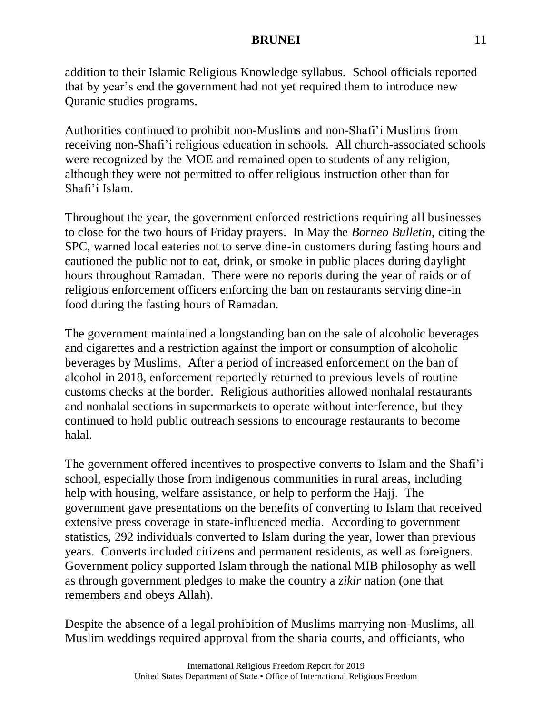addition to their Islamic Religious Knowledge syllabus. School officials reported that by year's end the government had not yet required them to introduce new Quranic studies programs.

Authorities continued to prohibit non-Muslims and non-Shafi'i Muslims from receiving non-Shafi'i religious education in schools. All church-associated schools were recognized by the MOE and remained open to students of any religion, although they were not permitted to offer religious instruction other than for Shafi'i Islam.

Throughout the year, the government enforced restrictions requiring all businesses to close for the two hours of Friday prayers. In May the *Borneo Bulletin,* citing the SPC, warned local eateries not to serve dine-in customers during fasting hours and cautioned the public not to eat, drink, or smoke in public places during daylight hours throughout Ramadan. There were no reports during the year of raids or of religious enforcement officers enforcing the ban on restaurants serving dine-in food during the fasting hours of Ramadan.

The government maintained a longstanding ban on the sale of alcoholic beverages and cigarettes and a restriction against the import or consumption of alcoholic beverages by Muslims. After a period of increased enforcement on the ban of alcohol in 2018, enforcement reportedly returned to previous levels of routine customs checks at the border. Religious authorities allowed nonhalal restaurants and nonhalal sections in supermarkets to operate without interference, but they continued to hold public outreach sessions to encourage restaurants to become halal.

The government offered incentives to prospective converts to Islam and the Shafi'i school, especially those from indigenous communities in rural areas, including help with housing, welfare assistance, or help to perform the Hajj. The government gave presentations on the benefits of converting to Islam that received extensive press coverage in state-influenced media. According to government statistics, 292 individuals converted to Islam during the year, lower than previous years. Converts included citizens and permanent residents, as well as foreigners. Government policy supported Islam through the national MIB philosophy as well as through government pledges to make the country a *zikir* nation (one that remembers and obeys Allah).

Despite the absence of a legal prohibition of Muslims marrying non-Muslims, all Muslim weddings required approval from the sharia courts, and officiants, who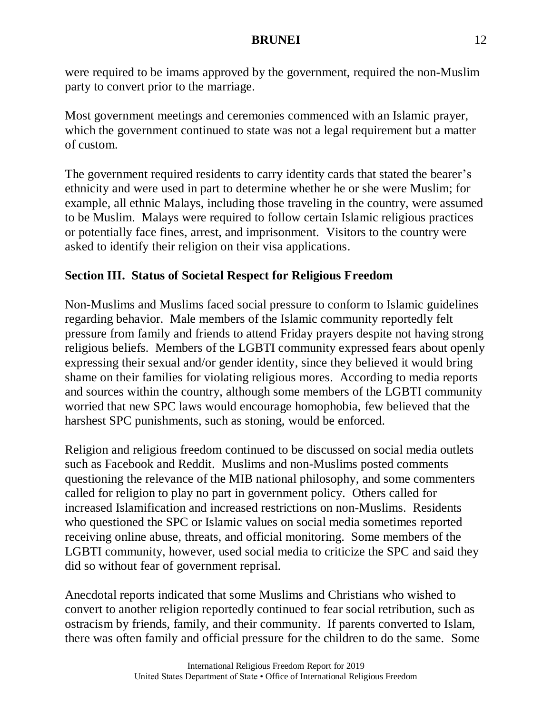were required to be imams approved by the government, required the non-Muslim party to convert prior to the marriage.

Most government meetings and ceremonies commenced with an Islamic prayer, which the government continued to state was not a legal requirement but a matter of custom.

The government required residents to carry identity cards that stated the bearer's ethnicity and were used in part to determine whether he or she were Muslim; for example, all ethnic Malays, including those traveling in the country, were assumed to be Muslim. Malays were required to follow certain Islamic religious practices or potentially face fines, arrest, and imprisonment. Visitors to the country were asked to identify their religion on their visa applications.

# **Section III. Status of Societal Respect for Religious Freedom**

Non-Muslims and Muslims faced social pressure to conform to Islamic guidelines regarding behavior. Male members of the Islamic community reportedly felt pressure from family and friends to attend Friday prayers despite not having strong religious beliefs. Members of the LGBTI community expressed fears about openly expressing their sexual and/or gender identity, since they believed it would bring shame on their families for violating religious mores. According to media reports and sources within the country, although some members of the LGBTI community worried that new SPC laws would encourage homophobia, few believed that the harshest SPC punishments, such as stoning, would be enforced.

Religion and religious freedom continued to be discussed on social media outlets such as Facebook and Reddit. Muslims and non-Muslims posted comments questioning the relevance of the MIB national philosophy, and some commenters called for religion to play no part in government policy. Others called for increased Islamification and increased restrictions on non-Muslims. Residents who questioned the SPC or Islamic values on social media sometimes reported receiving online abuse, threats, and official monitoring. Some members of the LGBTI community, however, used social media to criticize the SPC and said they did so without fear of government reprisal.

Anecdotal reports indicated that some Muslims and Christians who wished to convert to another religion reportedly continued to fear social retribution, such as ostracism by friends, family, and their community. If parents converted to Islam, there was often family and official pressure for the children to do the same. Some